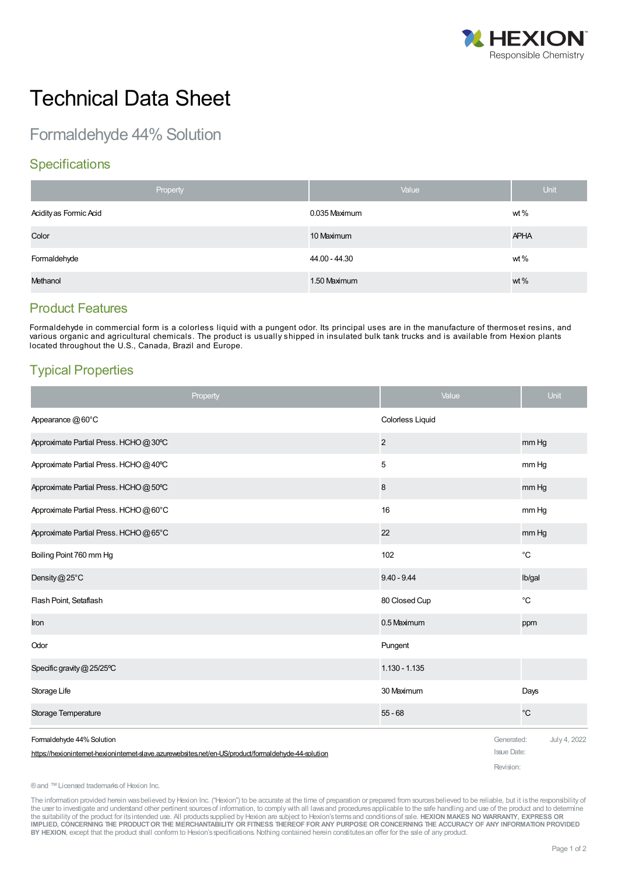

# Technical Data Sheet

Formaldehyde 44% Solution

## **Specifications**

| Property               | Value         | <b>Unit</b> |
|------------------------|---------------|-------------|
| Acidity as Formic Acid | 0.035 Maximum | wt $%$      |
| Color                  | 10 Maximum    | <b>APHA</b> |
| Formaldehyde           | 44.00 - 44.30 | wt $%$      |
| Methanol               | 1.50 Maximum  | wt %        |

#### Product Features

Formaldehyde in commercial form is a colorless liquid with a pungent odor. Its principal uses are in the manufacture of thermoset resins, and various organic and agricultural chemicals. The product is usually shipped in insulated bulk tank trucks and is available from Hexion plants located throughout the U.S., Canada, Brazil and Europe.

# Typical Properties

| Property                                                                                             | Value                            | Unit         |
|------------------------------------------------------------------------------------------------------|----------------------------------|--------------|
| Appearance @60°C                                                                                     | Colorless Liquid                 |              |
| Approximate Partial Press. HCHO @30°C                                                                | $\overline{c}$                   | mm Hg        |
| Approximate Partial Press. HCHO@40°C                                                                 | 5                                | mm Hg        |
| Approximate Partial Press. HCHO @ 50°C                                                               | 8                                | mm Hg        |
| Approximate Partial Press. HCHO @ 60°C                                                               | 16                               | mm Hg        |
| Approximate Partial Press. HCHO@65°C                                                                 | 22                               | mm Hg        |
| Boiling Point 760 mm Hg                                                                              | 102                              | $^{\circ}C$  |
| Density@25°C                                                                                         | $9.40 - 9.44$                    | Ib/gal       |
| Flash Point, Setaflash                                                                               | 80 Closed Cup                    | $^{\circ}C$  |
| Iron                                                                                                 | 0.5 Maximum                      | ppm          |
| Odor                                                                                                 | Pungent                          |              |
| Specific gravity @ 25/25°C                                                                           | 1.130 - 1.135                    |              |
| Storage Life                                                                                         | 30 Maximum                       | Days         |
| Storage Temperature                                                                                  | $55 - 68$                        | $^{\circ}C$  |
| Formaldehyde 44% Solution                                                                            | Generated:<br><b>Issue Date:</b> | July 4, 2022 |
| https://hexioninternet-hexioninternet-slave.azurewebsites.net/en-US/product/formaldehyde-44-solution | Revision:                        |              |

® and ™ Licensed trademarks of Hexion Inc.

The information provided herein was believed by Hexion Inc. ("Hexion") to be accurate at the time of preparation or prepared from sources believed to be reliable, but it is the responsibility of the user to investigate and understand other pertinent sources of information, to comply with all laws and procedures applicable to the safe handling and use of the product and to determine the suitability of the product for itsintended use. All productssupplied by Hexion are subject to Hexion'stermsand conditionsof sale. **HEXION MAKES NO WARRANTY, EXPRESS OR** IMPLIED, CONCERNING THE PRODUCT OR THE MERCHANTABILITY OR FITNESS THEREOF FOR ANY PURPOSE OR CONCERNING THE ACCURACY OF ANY INFORMATION PROVIDED **BY HEXION**, except that the product shall conform to Hexion'sspecifications. Nothing contained herein constitutesan offer for the sale of any product.